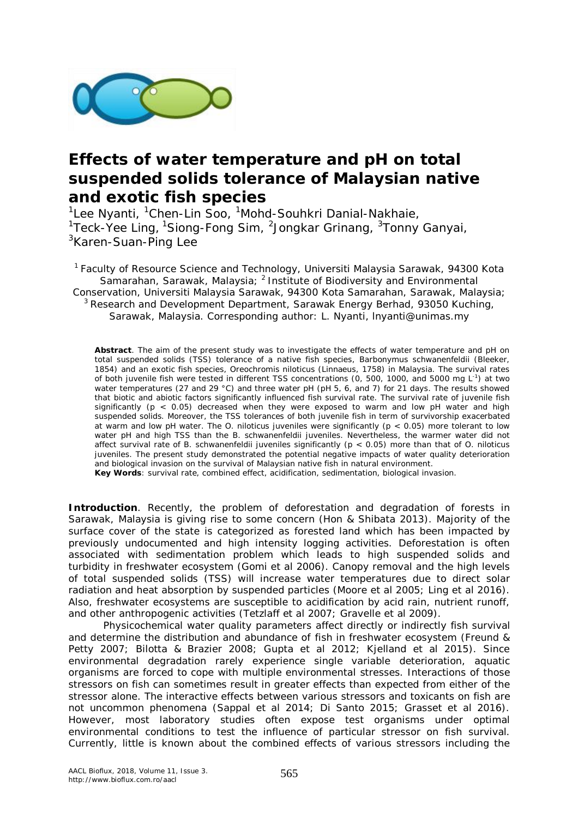

# **Effects of water temperature and pH on total suspended solids tolerance of Malaysian native and exotic fish species**

<sup>1</sup>Lee Nyanti, <sup>1</sup>Chen-Lin Soo, <sup>1</sup>Mohd-Souhkri Danial-Nakhaie, <sup>1</sup>Teck-Yee Ling, <sup>1</sup>Siong-Fong Sim, <sup>2</sup>Jongkar Grinang, <sup>3</sup>Tonny Ganyai, <sup>3</sup>Karen-Suan-Ping Lee

<sup>1</sup> Faculty of Resource Science and Technology, Universiti Malaysia Sarawak, 94300 Kota Samarahan, Sarawak, Malaysia; <sup>2</sup> Institute of Biodiversity and Environmental Conservation, Universiti Malaysia Sarawak, 94300 Kota Samarahan, Sarawak, Malaysia; <sup>3</sup> Research and Development Department, Sarawak Energy Berhad, 93050 Kuching, Sarawak, Malaysia. Corresponding author: L. Nyanti, lnyanti@unimas.my

**Abstract**. The aim of the present study was to investigate the effects of water temperature and pH on total suspended solids (TSS) tolerance of a native fish species, *Barbonymus schwanenfeldii* (Bleeker, 1854) and an exotic fish species, *Oreochromis niloticus* (Linnaeus, 1758) in Malaysia. The survival rates of both juvenile fish were tested in different TSS concentrations (0, 500, 1000, and 5000 mg L<sup>-1</sup>) at two water temperatures (27 and 29 °C) and three water pH (pH 5, 6, and 7) for 21 days. The results showed that biotic and abiotic factors significantly influenced fish survival rate. The survival rate of juvenile fish significantly (p < 0.05) decreased when they were exposed to warm and low pH water and high suspended solids. Moreover, the TSS tolerances of both juvenile fish in term of survivorship exacerbated at warm and low pH water. The *O. niloticus* juveniles were significantly (p < 0.05) more tolerant to low water pH and high TSS than the *B. schwanenfeldii* juveniles. Nevertheless, the warmer water did not affect survival rate of *B. schwanenfeldii* juveniles significantly (p < 0.05) more than that of *O. niloticus* juveniles. The present study demonstrated the potential negative impacts of water quality deterioration and biological invasion on the survival of Malaysian native fish in natural environment.

**Key Words**: survival rate, combined effect, acidification, sedimentation, biological invasion.

**Introduction**. Recently, the problem of deforestation and degradation of forests in Sarawak, Malaysia is giving rise to some concern (Hon & Shibata 2013). Majority of the surface cover of the state is categorized as forested land which has been impacted by previously undocumented and high intensity logging activities. Deforestation is often associated with sedimentation problem which leads to high suspended solids and turbidity in freshwater ecosystem (Gomi et al 2006). Canopy removal and the high levels of total suspended solids (TSS) will increase water temperatures due to direct solar radiation and heat absorption by suspended particles (Moore et al 2005; Ling et al 2016). Also, freshwater ecosystems are susceptible to acidification by acid rain, nutrient runoff, and other anthropogenic activities (Tetzlaff et al 2007; Gravelle et al 2009).

Physicochemical water quality parameters affect directly or indirectly fish survival and determine the distribution and abundance of fish in freshwater ecosystem (Freund & Petty 2007; Bilotta & Brazier 2008; Gupta et al 2012; Kjelland et al 2015). Since environmental degradation rarely experience single variable deterioration, aquatic organisms are forced to cope with multiple environmental stresses. Interactions of those stressors on fish can sometimes result in greater effects than expected from either of the stressor alone. The interactive effects between various stressors and toxicants on fish are not uncommon phenomena (Sappal et al 2014; Di Santo 2015; Grasset et al 2016). However, most laboratory studies often expose test organisms under optimal environmental conditions to test the influence of particular stressor on fish survival. Currently, little is known about the combined effects of various stressors including the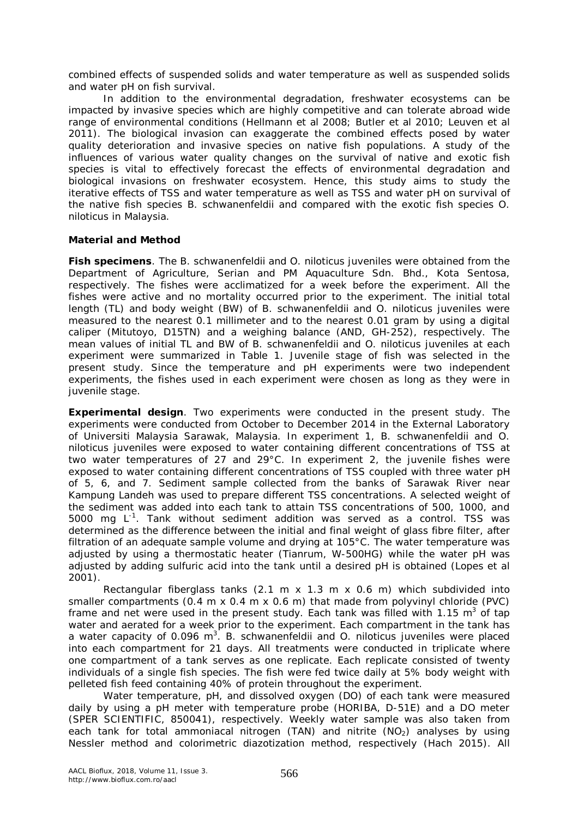combined effects of suspended solids and water temperature as well as suspended solids and water pH on fish survival.

In addition to the environmental degradation, freshwater ecosystems can be impacted by invasive species which are highly competitive and can tolerate abroad wide range of environmental conditions (Hellmann et al 2008; Butler et al 2010; Leuven et al 2011). The biological invasion can exaggerate the combined effects posed by water quality deterioration and invasive species on native fish populations. A study of the influences of various water quality changes on the survival of native and exotic fish species is vital to effectively forecast the effects of environmental degradation and biological invasions on freshwater ecosystem. Hence, this study aims to study the iterative effects of TSS and water temperature as well as TSS and water pH on survival of the native fish species *B. schwanenfeldii* and compared with the exotic fish species *O. niloticus* in Malaysia.

#### **Material and Method**

*Fish specimens*. The *B. schwanenfeldii* and *O. niloticus* juveniles were obtained from the Department of Agriculture, Serian and PM Aquaculture Sdn. Bhd., Kota Sentosa, respectively. The fishes were acclimatized for a week before the experiment. All the fishes were active and no mortality occurred prior to the experiment. The initial total length (TL) and body weight (BW) of *B. schwanenfeldii* and *O. niloticus* juveniles were measured to the nearest 0.1 millimeter and to the nearest 0.01 gram by using a digital caliper (Mitutoyo, D15TN) and a weighing balance (AND, GH-252), respectively. The mean values of initial TL and BW of *B. schwanenfeldii* and *O. niloticus* juveniles at each experiment were summarized in Table 1. Juvenile stage of fish was selected in the present study. Since the temperature and pH experiments were two independent experiments, the fishes used in each experiment were chosen as long as they were in juvenile stage.

*Experimental design*. Two experiments were conducted in the present study. The experiments were conducted from October to December 2014 in the External Laboratory of Universiti Malaysia Sarawak, Malaysia. In experiment 1, *B. schwanenfeldii* and *O. niloticus* juveniles were exposed to water containing different concentrations of TSS at two water temperatures of 27 and 29°C. In experiment 2, the juvenile fishes were exposed to water containing different concentrations of TSS coupled with three water pH of 5, 6, and 7. Sediment sample collected from the banks of Sarawak River near Kampung Landeh was used to prepare different TSS concentrations. A selected weight of the sediment was added into each tank to attain TSS concentrations of 500, 1000, and 5000 mg  $L^{-1}$ . Tank without sediment addition was served as a control. TSS was determined as the difference between the initial and final weight of glass fibre filter, after filtration of an adequate sample volume and drying at 105°C. The water temperature was adjusted by using a thermostatic heater (Tianrum, W-500HG) while the water pH was adjusted by adding sulfuric acid into the tank until a desired pH is obtained (Lopes et al 2001).

Rectangular fiberglass tanks  $(2.1 \text{ m} \times 1.3 \text{ m} \times 0.6 \text{ m})$  which subdivided into smaller compartments  $(0.4 \text{ m} \times 0.4 \text{ m} \times 0.6 \text{ m})$  that made from polyvinyl chloride (PVC) frame and net were used in the present study. Each tank was filled with 1.15  $m^3$  of tap water and aerated for a week prior to the experiment. Each compartment in the tank has a water capacity of 0.096 m<sup>3</sup>. B. schwanenfeldii and O. niloticus juveniles were placed into each compartment for 21 days. All treatments were conducted in triplicate where one compartment of a tank serves as one replicate. Each replicate consisted of twenty individuals of a single fish species. The fish were fed twice daily at 5% body weight with pelleted fish feed containing 40% of protein throughout the experiment.

Water temperature, pH, and dissolved oxygen (DO) of each tank were measured daily by using a pH meter with temperature probe (HORIBA, D-51E) and a DO meter (SPER SCIENTIFIC, 850041), respectively. Weekly water sample was also taken from each tank for total ammoniacal nitrogen (TAN) and nitrite ( $NO<sub>2</sub>$ ) analyses by using Nessler method and colorimetric diazotization method, respectively (Hach 2015). All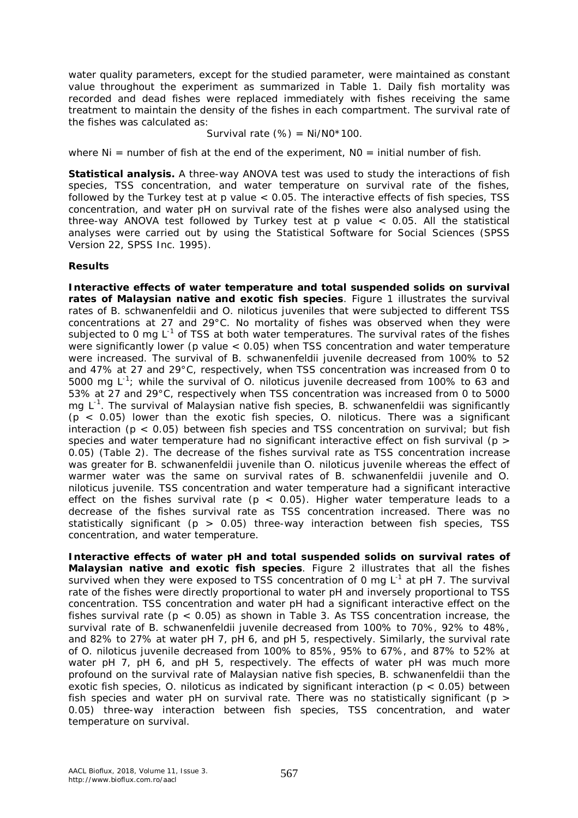water quality parameters, except for the studied parameter, were maintained as constant value throughout the experiment as summarized in Table 1. Daily fish mortality was recorded and dead fishes were replaced immediately with fishes receiving the same treatment to maintain the density of the fishes in each compartment. The survival rate of the fishes was calculated as:

$$
Survival rate (%) = Ni/NO*100.
$$

where  $Ni =$  number of fish at the end of the experiment.  $NO =$  initial number of fish.

**Statistical analysis.** A three-way ANOVA test was used to study the interactions of fish species, TSS concentration, and water temperature on survival rate of the fishes, followed by the Turkey test at p value < 0.05. The interactive effects of fish species, TSS concentration, and water pH on survival rate of the fishes were also analysed using the three-way ANOVA test followed by Turkey test at p value < 0.05. All the statistical analyses were carried out by using the Statistical Software for Social Sciences (SPSS Version 22, SPSS Inc. 1995).

### **Results**

*Interactive effects of water temperature and total suspended solids on survival*  rates of Malaysian native and exotic fish species. Figure 1 illustrates the survival rates of *B. schwanenfeldii* and *O. niloticus* juveniles that were subjected to different TSS concentrations at 27 and 29°C. No mortality of fishes was observed when they were subjected to 0 mg L<sup>-1</sup> of TSS at both water temperatures. The survival rates of the fishes were significantly lower (p value  $<$  0.05) when TSS concentration and water temperature were increased. The survival of *B. schwanenfeldii* juvenile decreased from 100% to 52 and 47% at 27 and 29°C, respectively, when TSS concentration was increased from 0 to 5000 mg L<sup>-1</sup>; while the survival of *O. niloticus* juvenile decreased from 100% to 63 and 53% at 27 and 29°C, respectively when TSS concentration was increased from 0 to 5000 mg L-1 . The survival of Malaysian native fish species, *B. schwanenfeldii* was significantly (p < 0.05) lower than the exotic fish species, *O. niloticus*. There was a significant interaction ( $p < 0.05$ ) between fish species and TSS concentration on survival; but fish species and water temperature had no significant interactive effect on fish survival (p > 0.05) (Table 2). The decrease of the fishes survival rate as TSS concentration increase was greater for *B. schwanenfeldii* juvenile than *O. niloticus* juvenile whereas the effect of warmer water was the same on survival rates of *B. schwanenfeldii* juvenile and *O. niloticus* juvenile. TSS concentration and water temperature had a significant interactive effect on the fishes survival rate ( $p < 0.05$ ). Higher water temperature leads to a decrease of the fishes survival rate as TSS concentration increased. There was no statistically significant ( $p > 0.05$ ) three-way interaction between fish species, TSS concentration, and water temperature.

*Interactive effects of water pH and total suspended solids on survival rates of Malaysian native and exotic fish species*. Figure 2 illustrates that all the fishes survived when they were exposed to TSS concentration of 0 mg  $L^{-1}$  at pH 7. The survival rate of the fishes were directly proportional to water pH and inversely proportional to TSS concentration. TSS concentration and water pH had a significant interactive effect on the fishes survival rate ( $p < 0.05$ ) as shown in Table 3. As TSS concentration increase, the survival rate of *B. schwanenfeldii* juvenile decreased from 100% to 70%, 92% to 48%, and 82% to 27% at water pH 7, pH 6, and pH 5, respectively. Similarly, the survival rate of *O. niloticus* juvenile decreased from 100% to 85%, 95% to 67%, and 87% to 52% at water pH 7, pH 6, and pH 5, respectively. The effects of water pH was much more profound on the survival rate of Malaysian native fish species, *B. schwanenfeldii* than the exotic fish species, *O. niloticus* as indicated by significant interaction (p < 0.05) between fish species and water pH on survival rate. There was no statistically significant ( $p >$ 0.05) three-way interaction between fish species, TSS concentration, and water temperature on survival.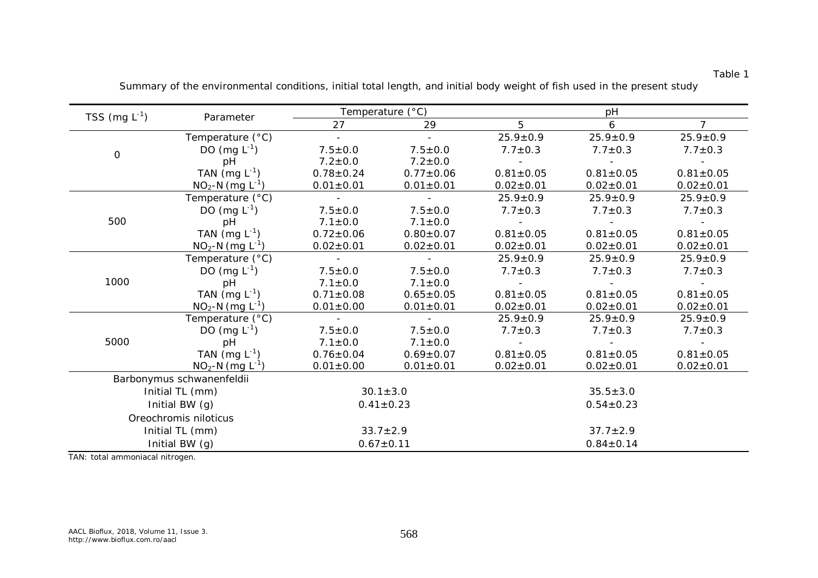#### *TSS* (mg L<sup>-1</sup>) *Parameter pH Parameter pH pH pH ) Parameter 27 29 5 6 7* Temperature (°C)  $\qquad \qquad \qquad \qquad 25.9 \pm 0.9$   $\qquad \qquad 25.9 \pm 0.9$   $\qquad \qquad 25.9 \pm 0.9$ DO (mg  $L^{-1}$ ) ) 7.5±0.0 7.5±0.0 7.7±0.3 7.7±0.3 7.7±0.3 pH 7.2±0.0 7.2±0.0 - - - TAN  $(mq L^{-1})$ ) 0.78±0.24 0.77±0.06 0.81±0.05 0.81±0.05 0.81±0.05 0  $NO<sub>2</sub>-N$  (mg  $L<sup>-1</sup>$ ) ) 0.01±0.01 0.01±0.01 0.02±0.01 0.02±0.01 0.02±0.01 Temperature (°C)  $\qquad \qquad \qquad \qquad \qquad \qquad \qquad \qquad \qquad \qquad \qquad \qquad \qquad \qquad \qquad \qquad \qquad \qquad \qquad \qquad \qquad \qquad \qquad \qquad \qquad \qquad \qquad \qquad \qquad -$  DO (mg  $L^{-1}$ ) ) 7.5±0.0 7.5±0.0 7.7±0.3 7.7±0.3 7.7±0.3 pH 7.1±0.0 7.1±0.0 - - - TAN  $(mg L^{-1})$ ) 0.72±0.06 0.80±0.07 0.81±0.05 0.81±0.05 0.81±0.05 500  $NO<sub>2</sub>-N$  (mg  $L<sup>-1</sup>$ )  $0.02 \pm 0.01$   $0.02 \pm 0.01$   $0.02 \pm 0.01$   $0.02 \pm 0.01$   $0.02 \pm 0.01$ Temperature (°C)  $\qquad \qquad \qquad \qquad \qquad \qquad \qquad \qquad \qquad \qquad \qquad \qquad \qquad \qquad \qquad \qquad \qquad \qquad \qquad \qquad \qquad \qquad \qquad \qquad \qquad \qquad \qquad \qquad \qquad -$  DO (mg  $L^{-1}$ ) ) 7.5±0.0 7.5±0.0 7.7±0.3 7.7±0.3 7.7±0.3 pH 7.1±0.0 7.1±0.0 - - - TAN  $(mq L^{-1})$ ) 0.71±0.08 0.65±0.05 0.81±0.05 0.81±0.05 0.81±0.05 1000  $NO<sub>2</sub>-N$  (mg  $L^{-1}$ )  $0.01 \pm 0.00$   $0.01 \pm 0.01$   $0.02 \pm 0.01$   $0.02 \pm 0.01$   $0.02 \pm 0.01$   $0.02 \pm 0.01$ Temperature (°C)  $\qquad \qquad \qquad \qquad 25.9 \pm 0.9$   $\qquad \qquad 25.9 \pm 0.9$   $\qquad \qquad 25.9 \pm 0.9$ DO  $(mg L^{-1})$ ) 7.5±0.0 7.5±0.0 7.7±0.3 7.7±0.3 7.7±0.3 pH 7.1±0.0 7.1±0.0 - - - TAN  $(mq L^{-1})$ ) 0.76±0.04 0.69±0.07 0.81±0.05 0.81±0.05 0.81±0.05 5000  $NO<sub>2</sub>-N$  (mg  $L<sup>-1</sup>$ )  $0.01 \pm 0.00$   $0.01 \pm 0.01$   $0.02 \pm 0.01$   $0.02 \pm 0.01$   $0.02 \pm 0.01$ *Barbonymus schwanenfeldii* Initial TL (mm)  $30.1 \pm 3.0$   $35.5 \pm 3.0$ Initial BW (g)  $0.41 \pm 0.23$   $0.54 \pm 0.23$ *Oreochromis niloticus* Initial TL (mm)  $33.7 \pm 2.9$   $37.7 \pm 2.9$ Initial BW (g)  $0.67 \pm 0.11$   $0.84 \pm 0.14$

Summary of the environmental conditions, initial total length, and initial body weight of fish used in the present study

Table 1

TAN: total ammoniacal nitrogen.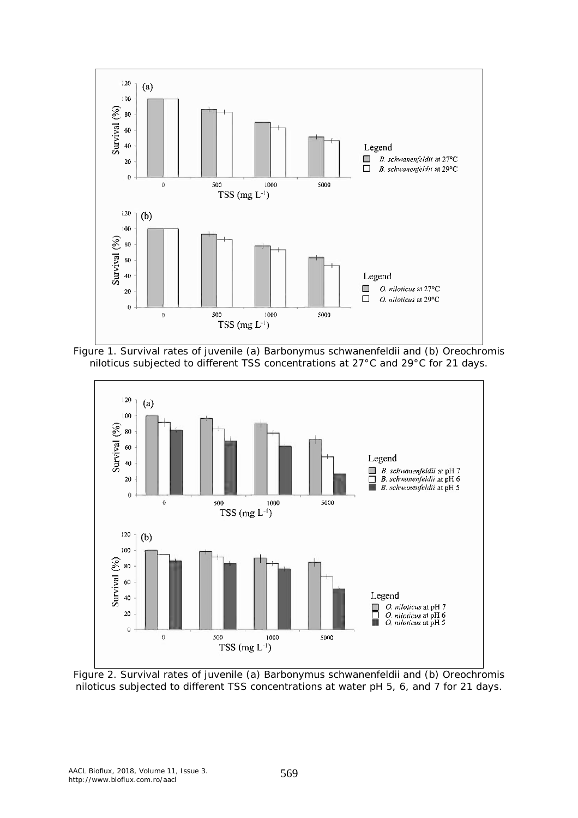





Figure 2. Survival rates of juvenile (a) *Barbonymus schwanenfeldii* and (b) *Oreochromis niloticus* subjected to different TSS concentrations at water pH 5, 6, and 7 for 21 days.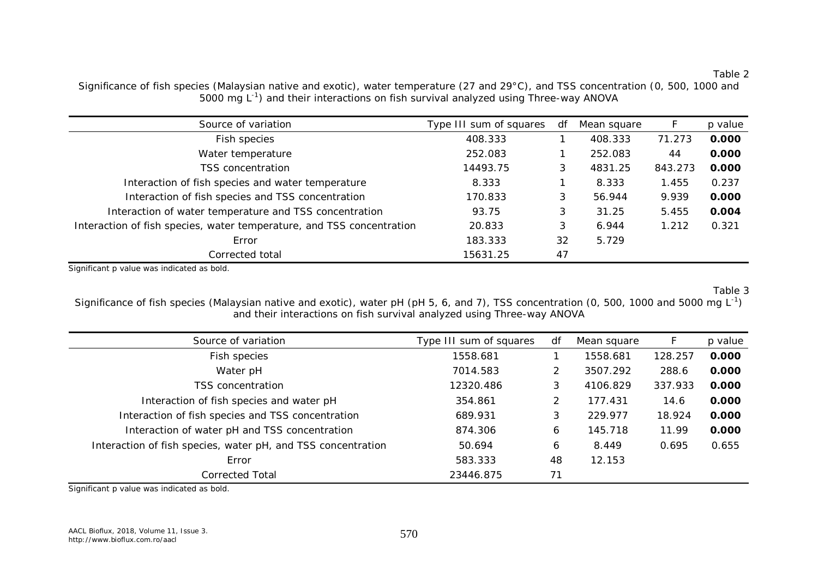*Source of variation Type III sum of squares df Mean square F p value* Fish species 408.333 1 408.333 71.273 **0.000** Water temperature 252.083 1 252.083 44 **0.000** TSS concentration 14493.75 3 4831.25 843.273 **0.000** Interaction of fish species and water temperature **8.333** 1.455 0.237 Interaction of fish species and TSS concentration 170.833 3 56.944 9.939 **0.000** Interaction of water temperature and TSS concentration **93.75** 31.25 5.455 **0.004** Interaction of fish species, water temperature, and TSS concentration  $20.833$  3 6.944 1.212 0.321

Significance of fish species (Malaysian native and exotic), water temperature (27 and 29°C), and TSS concentration (0, 500, 1000 and 5000 mg L<sup>-1</sup>) and their interactions on fish survival analyzed using Three-way ANOVA

Significant p value was indicated as bold.

Table 3

Significance of fish species (Malaysian native and exotic), water pH (pH 5, 6, and 7), TSS concentration (0, 500, 1000 and 5000 mg  $L^{-1}$ ) and their interactions on fish survival analyzed using Three-way ANOVA

Corrected total 15631.25 47

Error 183.333 32 5.729

| Type III sum of squares | df | Mean square |         | p value |
|-------------------------|----|-------------|---------|---------|
| 1558.681                |    | 1558.681    | 128.257 | 0.000   |
| 7014.583                | 2  | 3507.292    | 288.6   | 0.000   |
| 12320.486               | 3  | 4106.829    | 337.933 | 0.000   |
| 354.861                 | 2  | 177.431     | 14.6    | 0.000   |
| 689.931                 | 3  | 229.977     | 18.924  | 0.000   |
| 874.306                 | 6  | 145.718     | 11.99   | 0.000   |
| 50.694                  | 6  | 8.449       | 0.695   | 0.655   |
| 583.333                 | 48 | 12.153      |         |         |
| 23446.875               | 71 |             |         |         |
|                         |    |             |         |         |

Significant p value was indicated as bold.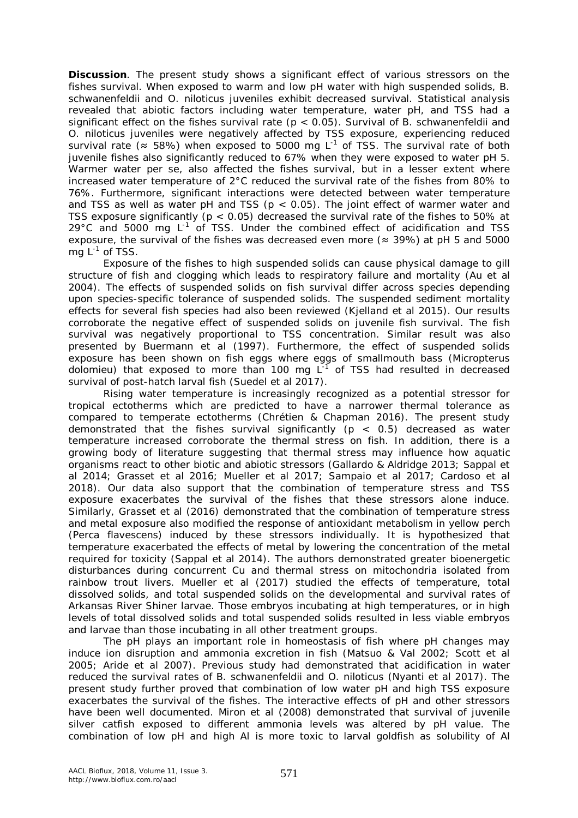**Discussion**. The present study shows a significant effect of various stressors on the fishes survival. When exposed to warm and low pH water with high suspended solids, *B. schwanenfeldii* and *O. niloticus* juveniles exhibit decreased survival. Statistical analysis revealed that abiotic factors including water temperature, water pH, and TSS had a significant effect on the fishes survival rate (p < 0.05). Survival of *B. schwanenfeldii* and *O. niloticus* juveniles were negatively affected by TSS exposure, experiencing reduced survival rate ( $\approx$  58%) when exposed to 5000 mg L<sup>-1</sup> of TSS. The survival rate of both juvenile fishes also significantly reduced to 67% when they were exposed to water pH 5. Warmer water per se, also affected the fishes survival, but in a lesser extent where increased water temperature of 2°C reduced the survival rate of the fishes from 80% to 76%. Furthermore, significant interactions were detected between water temperature and TSS as well as water pH and TSS ( $p < 0.05$ ). The joint effect of warmer water and TSS exposure significantly ( $p < 0.05$ ) decreased the survival rate of the fishes to 50% at 29 $^{\circ}$ C and 5000 mg L<sup>-1</sup> of TSS. Under the combined effect of acidification and TSS exposure, the survival of the fishes was decreased even more ( $\approx$  39%) at pH 5 and 5000 mg  $\mathsf{L}^\text{-1}$  of TSS.

Exposure of the fishes to high suspended solids can cause physical damage to gill structure of fish and clogging which leads to respiratory failure and mortality (Au et al 2004). The effects of suspended solids on fish survival differ across species depending upon species-specific tolerance of suspended solids. The suspended sediment mortality effects for several fish species had also been reviewed (Kjelland et al 2015). Our results corroborate the negative effect of suspended solids on juvenile fish survival. The fish survival was negatively proportional to TSS concentration. Similar result was also presented by Buermann et al (1997). Furthermore, the effect of suspended solids exposure has been shown on fish eggs where eggs of smallmouth bass (*Micropterus*  dolomieu) that exposed to more than 100 mg L<sup>-1</sup> of TSS had resulted in decreased survival of post-hatch larval fish (Suedel et al 2017).

Rising water temperature is increasingly recognized as a potential stressor for tropical ectotherms which are predicted to have a narrower thermal tolerance as compared to temperate ectotherms (Chrétien & Chapman 2016). The present study demonstrated that the fishes survival significantly  $(p < 0.5)$  decreased as water temperature increased corroborate the thermal stress on fish. In addition, there is a growing body of literature suggesting that thermal stress may influence how aquatic organisms react to other biotic and abiotic stressors (Gallardo & Aldridge 2013; Sappal et al 2014; Grasset et al 2016; Mueller et al 2017; Sampaio et al 2017; Cardoso et al 2018). Our data also support that the combination of temperature stress and TSS exposure exacerbates the survival of the fishes that these stressors alone induce. Similarly, Grasset et al (2016) demonstrated that the combination of temperature stress and metal exposure also modified the response of antioxidant metabolism in yellow perch (*Perca flavescens*) induced by these stressors individually. It is hypothesized that temperature exacerbated the effects of metal by lowering the concentration of the metal required for toxicity (Sappal et al 2014). The authors demonstrated greater bioenergetic disturbances during concurrent Cu and thermal stress on mitochondria isolated from rainbow trout livers. Mueller et al (2017) studied the effects of temperature, total dissolved solids, and total suspended solids on the developmental and survival rates of Arkansas River Shiner larvae. Those embryos incubating at high temperatures, or in high levels of total dissolved solids and total suspended solids resulted in less viable embryos and larvae than those incubating in all other treatment groups.

The pH plays an important role in homeostasis of fish where pH changes may induce ion disruption and ammonia excretion in fish (Matsuo & Val 2002; Scott et al 2005; Aride et al 2007). Previous study had demonstrated that acidification in water reduced the survival rates of *B. schwanenfeldii* and *O. niloticus* (Nyanti et al 2017). The present study further proved that combination of low water pH and high TSS exposure exacerbates the survival of the fishes. The interactive effects of pH and other stressors have been well documented. Miron et al (2008) demonstrated that survival of juvenile silver catfish exposed to different ammonia levels was altered by pH value. The combination of low pH and high Al is more toxic to larval goldfish as solubility of Al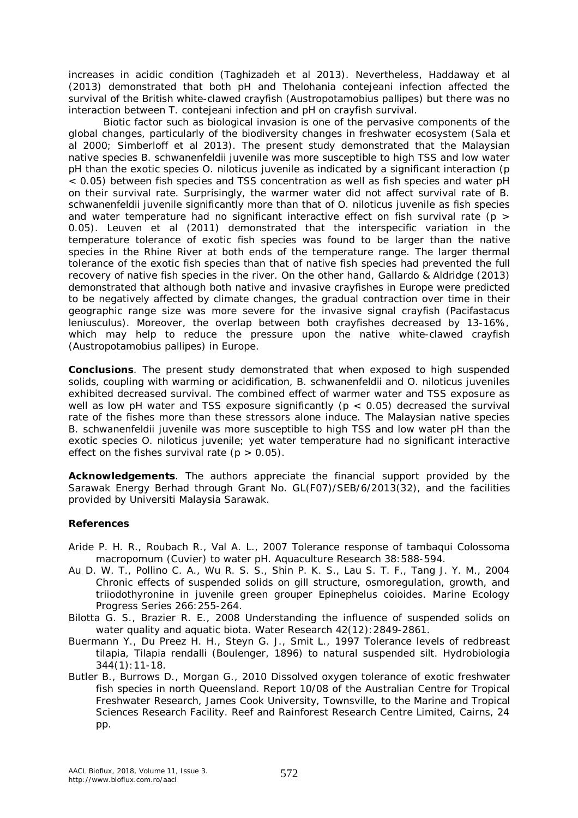increases in acidic condition (Taghizadeh et al 2013). Nevertheless, Haddaway et al (2013) demonstrated that both pH and *Thelohania contejeani* infection affected the survival of the British white-clawed crayfish (*Austropotamobius pallipes*) but there was no interaction between *T. contejeani* infection and pH on crayfish survival.

Biotic factor such as biological invasion is one of the pervasive components of the global changes, particularly of the biodiversity changes in freshwater ecosystem (Sala et al 2000; Simberloff et al 2013). The present study demonstrated that the Malaysian native species *B. schwanenfeldii* juvenile was more susceptible to high TSS and low water pH than the exotic species *O. niloticus* juvenile as indicated by a significant interaction (p < 0.05) between fish species and TSS concentration as well as fish species and water pH on their survival rate. Surprisingly, the warmer water did not affect survival rate of *B. schwanenfeldii* juvenile significantly more than that of *O. niloticus* juvenile as fish species and water temperature had no significant interactive effect on fish survival rate ( $p >$ 0.05). Leuven et al (2011) demonstrated that the interspecific variation in the temperature tolerance of exotic fish species was found to be larger than the native species in the Rhine River at both ends of the temperature range. The larger thermal tolerance of the exotic fish species than that of native fish species had prevented the full recovery of native fish species in the river. On the other hand, Gallardo & Aldridge (2013) demonstrated that although both native and invasive crayfishes in Europe were predicted to be negatively affected by climate changes, the gradual contraction over time in their geographic range size was more severe for the invasive signal crayfish (*Pacifastacus leniusculus*). Moreover, the overlap between both crayfishes decreased by 13-16%, which may help to reduce the pressure upon the native white-clawed crayfish (*Austropotamobius pallipes*) in Europe.

**Conclusions**. The present study demonstrated that when exposed to high suspended solids, coupling with warming or acidification, *B. schwanenfeldii* and *O. niloticus* juveniles exhibited decreased survival. The combined effect of warmer water and TSS exposure as well as low pH water and TSS exposure significantly ( $p < 0.05$ ) decreased the survival rate of the fishes more than these stressors alone induce. The Malaysian native species *B. schwanenfeldii* juvenile was more susceptible to high TSS and low water pH than the exotic species *O. niloticus* juvenile; yet water temperature had no significant interactive effect on the fishes survival rate  $(p > 0.05)$ .

**Acknowledgements**. The authors appreciate the financial support provided by the Sarawak Energy Berhad through Grant No. GL(F07)/SEB/6/2013(32), and the facilities provided by Universiti Malaysia Sarawak.

## **References**

- Aride P. H. R., Roubach R., Val A. L., 2007 Tolerance response of tambaqui *Colossoma macropomum* (Cuvier) to water pH. Aquaculture Research 38:588-594.
- Au D. W. T., Pollino C. A., Wu R. S. S., Shin P. K. S., Lau S. T. F., Tang J. Y. M., 2004 Chronic effects of suspended solids on gill structure, osmoregulation, growth, and triiodothyronine in juvenile green grouper *Epinephelus coioides*. Marine Ecology Progress Series 266:255-264.
- Bilotta G. S., Brazier R. E., 2008 Understanding the influence of suspended solids on water quality and aquatic biota. Water Research 42(12):2849-2861.
- Buermann Y., Du Preez H. H., Steyn G. J., Smit L., 1997 Tolerance levels of redbreast tilapia, *Tilapia rendalli* (Boulenger, 1896) to natural suspended silt. Hydrobiologia 344(1):11-18.
- Butler B., Burrows D., Morgan G., 2010 Dissolved oxygen tolerance of exotic freshwater fish species in north Queensland. Report 10/08 of the Australian Centre for Tropical Freshwater Research, James Cook University, Townsville, to the Marine and Tropical Sciences Research Facility. Reef and Rainforest Research Centre Limited, Cairns, 24 pp.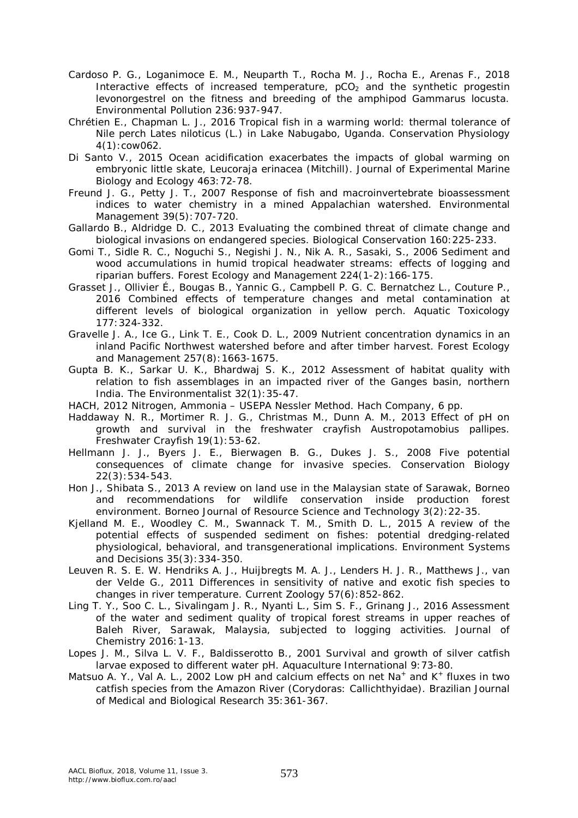- Cardoso P. G., Loganimoce E. M., Neuparth T., Rocha M. J., Rocha E., Arenas F., 2018 Interactive effects of increased temperature,  $pCO<sub>2</sub>$  and the synthetic progestin levonorgestrel on the fitness and breeding of the amphipod *Gammarus locusta*. Environmental Pollution 236:937-947.
- Chrétien E., Chapman L. J., 2016 Tropical fish in a warming world: thermal tolerance of Nile perch *Lates niloticus* (L.) in Lake Nabugabo, Uganda. Conservation Physiology 4(1):cow062.
- Di Santo V., 2015 Ocean acidification exacerbates the impacts of global warming on embryonic little skate, *Leucoraja erinacea* (Mitchill). Journal of Experimental Marine Biology and Ecology 463:72-78.
- Freund J. G., Petty J. T., 2007 Response of fish and macroinvertebrate bioassessment indices to water chemistry in a mined Appalachian watershed. Environmental Management 39(5):707-720.
- Gallardo B., Aldridge D. C., 2013 Evaluating the combined threat of climate change and biological invasions on endangered species. Biological Conservation 160:225-233.
- Gomi T., Sidle R. C., Noguchi S., Negishi J. N., Nik A. R., Sasaki, S., 2006 Sediment and wood accumulations in humid tropical headwater streams: effects of logging and riparian buffers. Forest Ecology and Management 224(1-2):166-175.
- Grasset J., Ollivier É., Bougas B., Yannic G., Campbell P. G. C. Bernatchez L., Couture P., 2016 Combined effects of temperature changes and metal contamination at different levels of biological organization in yellow perch. Aquatic Toxicology 177:324-332.
- Gravelle J. A., Ice G., Link T. E., Cook D. L., 2009 Nutrient concentration dynamics in an inland Pacific Northwest watershed before and after timber harvest. Forest Ecology and Management 257(8):1663-1675.
- Gupta B. K., Sarkar U. K., Bhardwaj S. K., 2012 Assessment of habitat quality with relation to fish assemblages in an impacted river of the Ganges basin, northern India. The Environmentalist 32(1):35-47.
- HACH, 2012 Nitrogen, Ammonia USEPA Nessler Method. Hach Company, 6 pp.
- Haddaway N. R., Mortimer R. J. G., Christmas M., Dunn A. M., 2013 Effect of pH on growth and survival in the freshwater crayfish *Austropotamobius pallipes*. Freshwater Crayfish 19(1):53-62.
- Hellmann J. J., Byers J. E., Bierwagen B. G., Dukes J. S., 2008 Five potential consequences of climate change for invasive species. Conservation Biology 22(3):534-543.
- Hon J., Shibata S., 2013 A review on land use in the Malaysian state of Sarawak, Borneo and recommendations for wildlife conservation inside production forest environment. Borneo Journal of Resource Science and Technology 3(2):22-35.
- Kjelland M. E., Woodley C. M., Swannack T. M., Smith D. L., 2015 A review of the potential effects of suspended sediment on fishes: potential dredging-related physiological, behavioral, and transgenerational implications. Environment Systems and Decisions 35(3):334-350.
- Leuven R. S. E. W. Hendriks A. J., Huijbregts M. A. J., Lenders H. J. R., Matthews J., van der Velde G., 2011 Differences in sensitivity of native and exotic fish species to changes in river temperature. Current Zoology 57(6):852-862.
- Ling T. Y., Soo C. L., Sivalingam J. R., Nyanti L., Sim S. F., Grinang J., 2016 Assessment of the water and sediment quality of tropical forest streams in upper reaches of Baleh River, Sarawak, Malaysia, subjected to logging activities. Journal of Chemistry 2016:1-13.
- Lopes J. M., Silva L. V. F., Baldisserotto B., 2001 Survival and growth of silver catfish larvae exposed to different water pH. Aquaculture International 9:73-80.
- Matsuo A. Y., Val A. L., 2002 Low pH and calcium effects on net Na<sup>+</sup> and K<sup>+</sup> fluxes in two catfish species from the Amazon River (*Corydoras*: Callichthyidae). Brazilian Journal of Medical and Biological Research 35:361-367.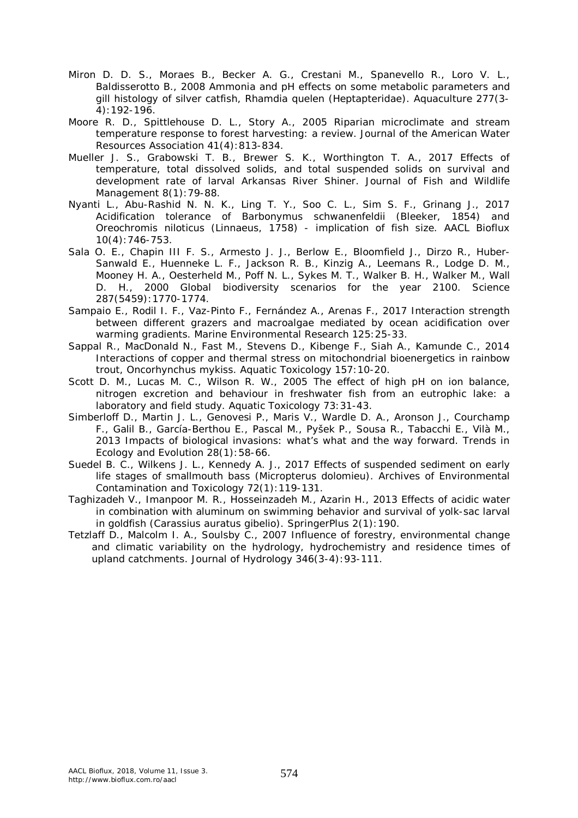- Miron D. D. S., Moraes B., Becker A. G., Crestani M., Spanevello R., Loro V. L., Baldisserotto B., 2008 Ammonia and pH effects on some metabolic parameters and gill histology of silver catfish, *Rhamdia quelen* (Heptapteridae). Aquaculture 277(3- 4):192-196.
- Moore R. D., Spittlehouse D. L., Story A., 2005 Riparian microclimate and stream temperature response to forest harvesting: a review. Journal of the American Water Resources Association 41(4):813-834.
- Mueller J. S., Grabowski T. B., Brewer S. K., Worthington T. A., 2017 Effects of temperature, total dissolved solids, and total suspended solids on survival and development rate of larval Arkansas River Shiner. Journal of Fish and Wildlife Management 8(1):79-88.
- Nyanti L., Abu-Rashid N. N. K., Ling T. Y., Soo C. L., Sim S. F., Grinang J., 2017 Acidification tolerance of *Barbonymus schwanenfeldii* (Bleeker, 1854) and *Oreochromis niloticus* (Linnaeus, 1758) - implication of fish size. AACL Bioflux 10(4):746-753.
- Sala O. E., Chapin III F. S., Armesto J. J., Berlow E., Bloomfield J., Dirzo R., Huber-Sanwald E., Huenneke L. F., Jackson R. B., Kinzig A., Leemans R., Lodge D. M., Mooney H. A., Oesterheld M., Poff N. L., Sykes M. T., Walker B. H., Walker M., Wall D. H., 2000 Global biodiversity scenarios for the year 2100. Science 287(5459):1770-1774.
- Sampaio E., Rodil I. F., Vaz-Pinto F., Fernández A., Arenas F., 2017 Interaction strength between different grazers and macroalgae mediated by ocean acidification over warming gradients. Marine Environmental Research 125:25-33.
- Sappal R., MacDonald N., Fast M., Stevens D., Kibenge F., Siah A., Kamunde C., 2014 Interactions of copper and thermal stress on mitochondrial bioenergetics in rainbow trout, *Oncorhynchus mykiss*. Aquatic Toxicology 157:10-20.
- Scott D. M., Lucas M. C., Wilson R. W., 2005 The effect of high pH on ion balance, nitrogen excretion and behaviour in freshwater fish from an eutrophic lake: a laboratory and field study. Aquatic Toxicology 73:31-43.
- Simberloff D., Martin J. L., Genovesi P., Maris V., Wardle D. A., Aronson J., Courchamp F., Galil B., García-Berthou E., Pascal M., Pyšek P., Sousa R., Tabacchi E., Vilà M., 2013 Impacts of biological invasions: what's what and the way forward. Trends in Ecology and Evolution 28(1):58-66.
- Suedel B. C., Wilkens J. L., Kennedy A. J., 2017 Effects of suspended sediment on early life stages of smallmouth bass (*Micropterus dolomieu*). Archives of Environmental Contamination and Toxicology 72(1):119-131.
- Taghizadeh V., Imanpoor M. R., Hosseinzadeh M., Azarin H., 2013 Effects of acidic water in combination with aluminum on swimming behavior and survival of yolk-sac larval in goldfish (*Carassius auratus gibelio*). SpringerPlus 2(1):190.
- Tetzlaff D., Malcolm I. A., Soulsby C., 2007 Influence of forestry, environmental change and climatic variability on the hydrology, hydrochemistry and residence times of upland catchments. Journal of Hydrology 346(3-4):93-111.